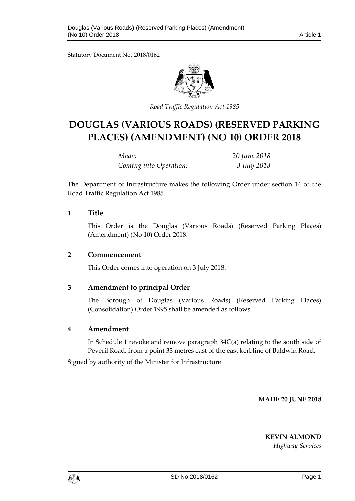Statutory Document No. 2018/0162



*Road Traffic Regulation Act 1985*

# **DOUGLAS (VARIOUS ROADS) (RESERVED PARKING PLACES) (AMENDMENT) (NO 10) ORDER 2018**

| Made:                  | 20 June 2018 |
|------------------------|--------------|
| Coming into Operation: | 3 July 2018  |

The Department of Infrastructure makes the following Order under section 14 of the Road Traffic Regulation Act 1985.

### **1 Title**

This Order is the Douglas (Various Roads) (Reserved Parking Places) (Amendment) (No 10) Order 2018.

#### **2 Commencement**

This Order comes into operation on 3 July 2018.

### **3 Amendment to principal Order**

The Borough of Douglas (Various Roads) (Reserved Parking Places) (Consolidation) Order 1995 shall be amended as follows.

### **4 Amendment**

In Schedule 1 revoke and remove paragraph 34C(a) relating to the south side of Peveril Road, from a point 33 metres east of the east kerbline of Baldwin Road.

Signed by authority of the Minister for Infrastructure

**MADE 20 JUNE 2018**

**KEVIN ALMOND**

*Highway Services*